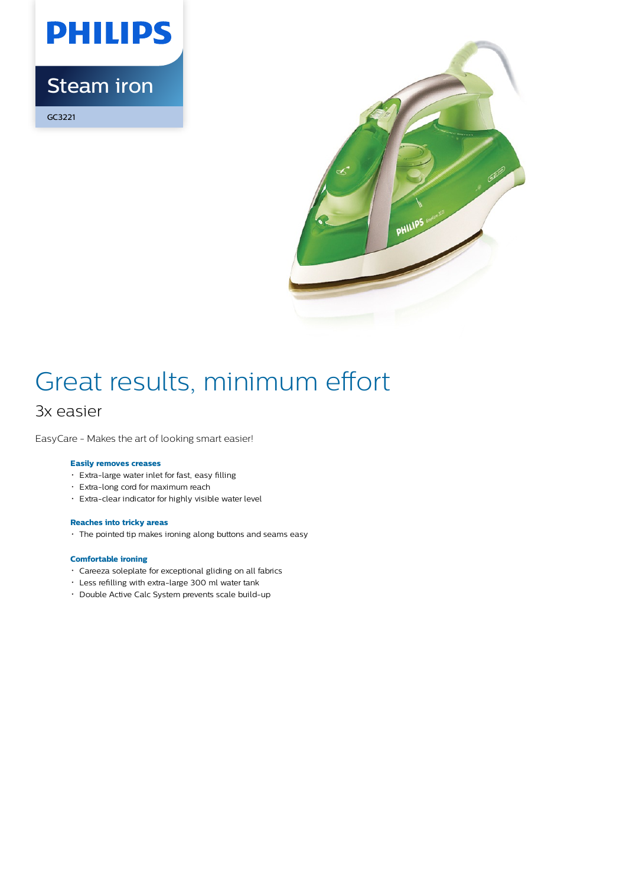

## Steam iron

GC3221



# Great results, minimum effort

### 3x easier

EasyCare - Makes the art of looking smart easier!

#### **Easily removes creases**

- Extra-large water inlet for fast, easy filling
- Extra-long cord for maximum reach
- Extra-clear indicator for highly visible water level

#### **Reaches into tricky areas**

The pointed tip makes ironing along buttons and seams easy

#### **Comfortable ironing**

- Careeza soleplate for exceptional gliding on all fabrics
- Less refilling with extra-large 300 ml water tank
- Double Active Calc System prevents scale build-up